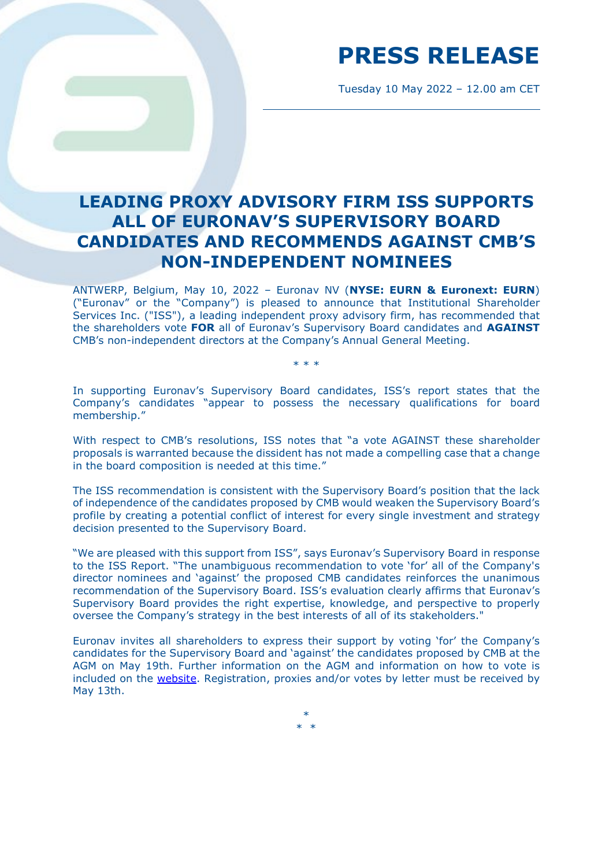Tuesday 10 May 2022 – 12.00 am CET

### **LEADING PROXY ADVISORY FIRM ISS SUPPORTS ALL OF EURONAV'S SUPERVISORY BOARD CANDIDATES AND RECOMMENDS AGAINST CMB'S NON-INDEPENDENT NOMINEES**

ANTWERP, Belgium, May 10, 2022 – Euronav NV (**NYSE: EURN & Euronext: EURN**) ("Euronav" or the "Company") is pleased to announce that Institutional Shareholder Services Inc. ("ISS"), a leading independent proxy advisory firm, has recommended that the shareholders vote **FOR** all of Euronav's Supervisory Board candidates and **AGAINST**  CMB's non-independent directors at the Company's Annual General Meeting.

In supporting Euronav's Supervisory Board candidates, ISS's report states that the Company's candidates "appear to possess the necessary qualifications for board membership."

\* \* \*

With respect to CMB's resolutions, ISS notes that "a vote AGAINST these shareholder proposals is warranted because the dissident has not made a compelling case that a change in the board composition is needed at this time."

The ISS recommendation is consistent with the Supervisory Board's position that the lack of independence of the candidates proposed by CMB would weaken the Supervisory Board's profile by creating a potential conflict of interest for every single investment and strategy decision presented to the Supervisory Board.

"We are pleased with this support from ISS", says Euronav's Supervisory Board in response to the ISS Report. "The unambiguous recommendation to vote 'for' all of the Company's director nominees and 'against' the proposed CMB candidates reinforces the unanimous recommendation of the Supervisory Board. ISS's evaluation clearly affirms that Euronav's Supervisory Board provides the right expertise, knowledge, and perspective to properly oversee the Company's strategy in the best interests of all of its stakeholders."

Euronav invites all shareholders to express their support by voting 'for' the Company's candidates for the Supervisory Board and 'against' the candidates proposed by CMB at the AGM on May 19th. Further information on the AGM and information on how to vote is included on the [website.](https://www.euronav.com/en/investors/agm/) Registration, proxies and/or votes by letter must be received by May 13th.

> \* \* \*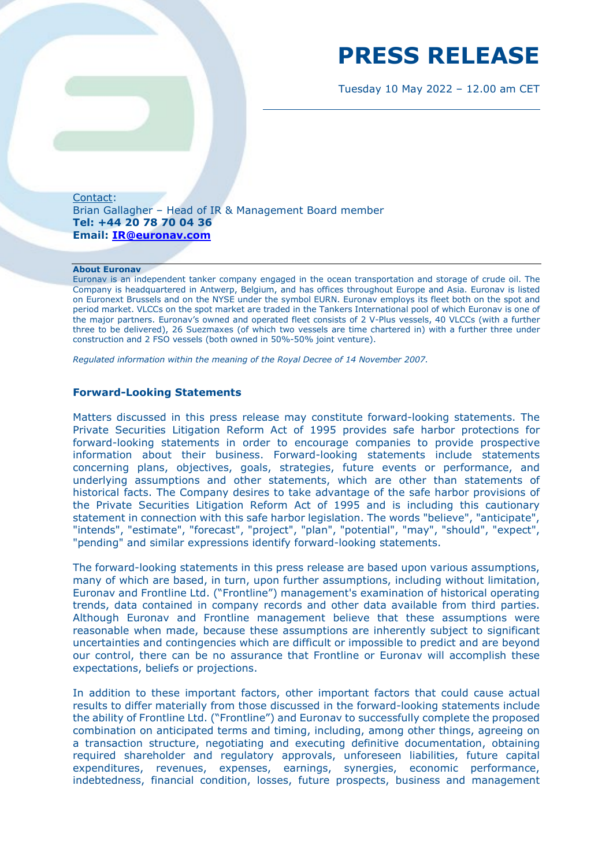Tuesday 10 May 2022 – 12.00 am CET

Contact: Brian Gallagher – Head of IR & Management Board member **Tel: +44 20 78 70 04 36 Email: [IR@euronav.com](mailto:IR@euronav.com)**

#### **About Euronav**

Euronav is an independent tanker company engaged in the ocean transportation and storage of crude oil. The Company is headquartered in Antwerp, Belgium, and has offices throughout Europe and Asia. Euronav is listed on Euronext Brussels and on the NYSE under the symbol EURN. Euronav employs its fleet both on the spot and period market. VLCCs on the spot market are traded in the Tankers International pool of which Euronav is one of the major partners. Euronav's owned and operated fleet consists of 2 V-Plus vessels, 40 VLCCs (with a further three to be delivered), 26 Suezmaxes (of which two vessels are time chartered in) with a further three under construction and 2 FSO vessels (both owned in 50%-50% joint venture).

*Regulated information within the meaning of the Royal Decree of 14 November 2007.* 

#### **Forward-Looking Statements**

Matters discussed in this press release may constitute forward-looking statements. The Private Securities Litigation Reform Act of 1995 provides safe harbor protections for forward-looking statements in order to encourage companies to provide prospective information about their business. Forward-looking statements include statements concerning plans, objectives, goals, strategies, future events or performance, and underlying assumptions and other statements, which are other than statements of historical facts. The Company desires to take advantage of the safe harbor provisions of the Private Securities Litigation Reform Act of 1995 and is including this cautionary statement in connection with this safe harbor legislation. The words "believe", "anticipate", "intends", "estimate", "forecast", "project", "plan", "potential", "may", "should", "expect", "pending" and similar expressions identify forward-looking statements.

The forward-looking statements in this press release are based upon various assumptions, many of which are based, in turn, upon further assumptions, including without limitation, Euronav and Frontline Ltd. ("Frontline") management's examination of historical operating trends, data contained in company records and other data available from third parties. Although Euronav and Frontline management believe that these assumptions were reasonable when made, because these assumptions are inherently subject to significant uncertainties and contingencies which are difficult or impossible to predict and are beyond our control, there can be no assurance that Frontline or Euronav will accomplish these expectations, beliefs or projections.

In addition to these important factors, other important factors that could cause actual results to differ materially from those discussed in the forward-looking statements include the ability of Frontline Ltd. ("Frontline") and Euronav to successfully complete the proposed combination on anticipated terms and timing, including, among other things, agreeing on a transaction structure, negotiating and executing definitive documentation, obtaining required shareholder and regulatory approvals, unforeseen liabilities, future capital expenditures, revenues, expenses, earnings, synergies, economic performance, indebtedness, financial condition, losses, future prospects, business and management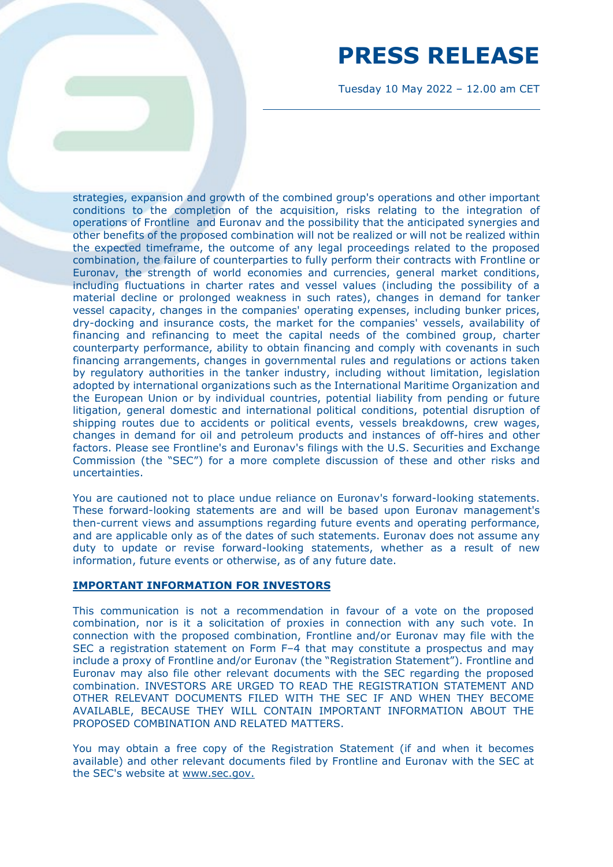Tuesday 10 May 2022 – 12.00 am CET

strategies, expansion and growth of the combined group's operations and other important conditions to the completion of the acquisition, risks relating to the integration of operations of Frontline and Euronav and the possibility that the anticipated synergies and other benefits of the proposed combination will not be realized or will not be realized within the expected timeframe, the outcome of any legal proceedings related to the proposed combination, the failure of counterparties to fully perform their contracts with Frontline or Euronav, the strength of world economies and currencies, general market conditions, including fluctuations in charter rates and vessel values (including the possibility of a material decline or prolonged weakness in such rates), changes in demand for tanker vessel capacity, changes in the companies' operating expenses, including bunker prices, dry-docking and insurance costs, the market for the companies' vessels, availability of financing and refinancing to meet the capital needs of the combined group, charter counterparty performance, ability to obtain financing and comply with covenants in such financing arrangements, changes in governmental rules and regulations or actions taken by regulatory authorities in the tanker industry, including without limitation, legislation adopted by international organizations such as the International Maritime Organization and the European Union or by individual countries, potential liability from pending or future litigation, general domestic and international political conditions, potential disruption of shipping routes due to accidents or political events, vessels breakdowns, crew wages, changes in demand for oil and petroleum products and instances of off-hires and other factors. Please see Frontline's and Euronav's filings with the U.S. Securities and Exchange Commission (the "SEC") for a more complete discussion of these and other risks and uncertainties.

You are cautioned not to place undue reliance on Euronav's forward-looking statements. These forward-looking statements are and will be based upon Euronav management's then-current views and assumptions regarding future events and operating performance, and are applicable only as of the dates of such statements. Euronav does not assume any duty to update or revise forward-looking statements, whether as a result of new information, future events or otherwise, as of any future date.

#### **IMPORTANT INFORMATION FOR INVESTORS**

This communication is not a recommendation in favour of a vote on the proposed combination, nor is it a solicitation of proxies in connection with any such vote. In connection with the proposed combination, Frontline and/or Euronav may file with the SEC a registration statement on Form F–4 that may constitute a prospectus and may include a proxy of Frontline and/or Euronav (the "Registration Statement"). Frontline and Euronav may also file other relevant documents with the SEC regarding the proposed combination. INVESTORS ARE URGED TO READ THE REGISTRATION STATEMENT AND OTHER RELEVANT DOCUMENTS FILED WITH THE SEC IF AND WHEN THEY BECOME AVAILABLE, BECAUSE THEY WILL CONTAIN IMPORTANT INFORMATION ABOUT THE PROPOSED COMBINATION AND RELATED MATTERS.

You may obtain a free copy of the Registration Statement (if and when it becomes available) and other relevant documents filed by Frontline and Euronav with the SEC at the SEC's website at [www.sec.gov.](http://www.sec.gov/)